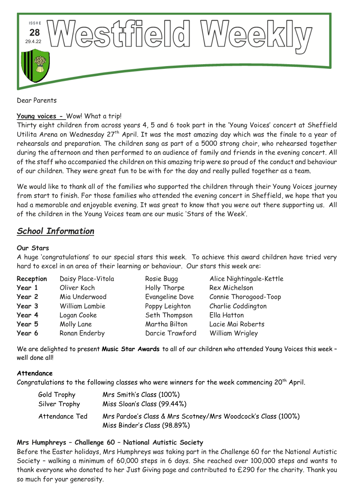

Dear Parents

## **Young voices -** Wow! What a trip!

Thirty eight children from across years 4, 5 and 6 took part in the 'Young Voices' concert at Sheffield Utilita Arena on Wednesday 27<sup>th</sup> April. It was the most amazing day which was the finale to a year of rehearsals and preparation. The children sang as part of a 5000 strong choir, who rehearsed together during the afternoon and then performed to an audience of family and friends in the evening concert. All of the staff who accompanied the children on this amazing trip were so proud of the conduct and behaviour of our children. They were great fun to be with for the day and really pulled together as a team.

We would like to thank all of the families who supported the children through their Young Voices journey from start to finish. For those families who attended the evening concert in Sheffield, we hope that you had a memorable and enjoyable evening. It was great to know that you were out there supporting us. All of the children in the Young Voices team are our music 'Stars of the Week'.

# *School Information*

## **Our Stars**

A huge 'congratulations' to our special stars this week. To achieve this award children have tried very hard to excel in an area of their learning or behaviour. Our stars this week are:

| Reception | Daisy Place-Vitola | Rosie Bugg      | Alice Nightingale-Kettle |
|-----------|--------------------|-----------------|--------------------------|
| Year 1    | Oliver Koch        | Holly Thorpe    | Rex Michelson            |
| Year 2    | Mia Underwood      | Evangeline Dove | Connie Thorogood-Toop    |
| Year 3    | William Lambie     | Poppy Leighton  | Charlie Coddington       |
| Year 4    | Logan Cooke        | Seth Thompson   | Ella Hatton              |
| Year 5    | Molly Lane         | Martha Bilton   | Lacie Mai Roberts        |
| Year 6    | Ronan Enderby      | Darcie Trawford | William Wrigley          |

We are delighted to present **Music Star Awards** to all of our children who attended Young Voices this week – well done all

### **Attendance**

Congratulations to the following classes who were winners for the week commencing 20<sup>th</sup> April.

| Gold Trophy    | Mrs Smith's Class (100%)                                                                     |
|----------------|----------------------------------------------------------------------------------------------|
| Silver Trophy  | Miss Sloan's Class (99.44%)                                                                  |
| Attendance Ted | Mrs Pardoe's Class & Mrs Scotney/Mrs Woodcock's Class (100%)<br>Miss Binder's Class (98.89%) |

# **Mrs Humphreys – Challenge 60 – National Autistic Society**

Before the Easter holidays, Mrs Humphreys was taking part in the Challenge 60 for the National Autistic Society – walking a minimum of 60,000 steps in 6 days. She reached over 100,000 steps and wants to thank everyone who donated to her Just Giving page and contributed to £290 for the charity. Thank you so much for your generosity.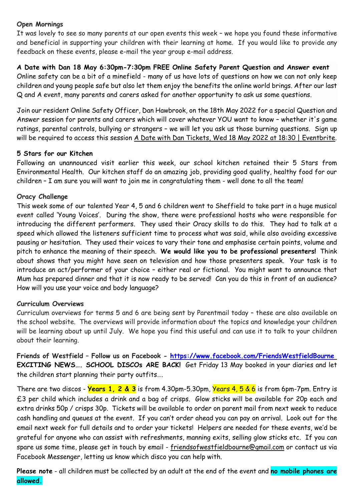## **Open Mornings**

It was lovely to see so many parents at our open events this week – we hope you found these informative and beneficial in supporting your children with their learning at home. If you would like to provide any feedback on these events, please e-mail the year group e-mail address.

## **A Date with Dan 18 May 6:30pm-7:30pm FREE Online Safety Parent Question and Answer event**

Online safety can be a bit of a minefield - many of us have lots of questions on how we can not only keep children and young people safe but also let them enjoy the benefits the online world brings. After our last Q and A event, many parents and carers asked for another opportunity to ask us some questions.

Join our resident Online Safety Officer, Dan Hawbrook, on the 18th May 2022 for a special Question and Answer session for parents and carers which will cover whatever YOU want to know – whether it's game ratings, parental controls, bullying or strangers – we will let you ask us those burning questions. Sign up will be required to access this session [A Date with Dan Tickets, Wed 18 May 2022 at 18:30 | Eventbrite.](https://gbr01.safelinks.protection.outlook.com/?url=https%3A%2F%2Fwww.eventbrite.co.uk%2Fe%2Fa-date-with-dan-tickets-287806616337&data=05%7C01%7CLindsay.Tuach-Munford%40lincolnshire.gov.uk%7Cd6b49ff8e71942e5e67908da276d9688%7Cb4e05b92f8ce46b59b2499ba5c11e5e9%7C0%7C0%7C637865648864484642%7CUnknown%7CTWFpbGZsb3d8eyJWIjoiMC4wLjAwMDAiLCJQIjoiV2luMzIiLCJBTiI6Ik1haWwiLCJXVCI6Mn0%3D%7C3000%7C%7C%7C&sdata=CgNieMwfwuQkBuA%2B3Tmbx2MXjm6J458%2FF%2B6P%2Fuvsezk%3D&reserved=0)

# **5 Stars for our Kitchen**

Following an unannounced visit earlier this week, our school kitchen retained their 5 Stars from Environmental Health. Our kitchen staff do an amazing job, providing good quality, healthy food for our children – I am sure you will want to join me in congratulating them - well done to all the team!

# **Oracy Challenge**

This week some of our talented Year 4, 5 and 6 children went to Sheffield to take part in a huge musical event called 'Young Voices'. During the show, there were professional hosts who were responsible for introducing the different performers. They used their Oracy skills to do this. They had to talk at a speed which allowed the listeners sufficient time to process what was said, while also avoiding excessive pausing or hesitation. They used their voices to vary their tone and emphasise certain points, volume and pitch to enhance the meaning of their speech. **We would like you to be professional presenters!** Think about shows that you might have seen on television and how those presenters speak. Your task is to introduce an act/performer of your choice – either real or fictional. You might want to announce that Mum has prepared dinner and that it is now ready to be served! Can you do this in front of an audience? How will you use your voice and body language?

### **Curriculum Overviews**

Curriculum overviews for terms 5 and 6 are being sent by Parentmail today – these are also available on the school website. The overviews will provide information about the topics and knowledge your children will be learning about up until July. We hope you find this useful and can use it to talk to your children about their learning.

**Friends of Westfield – Follow us on Facebook - <https://www.facebook.com/FriendsWestfieldBourne> EXCITING NEWS…. SCHOOL DISCOs ARE BACK!** Get Friday 13 May booked in your diaries and let the children start planning their party outfits….

There are two discos - **Years 1, 2 & 3** is from 4.30pm-5.30pm, Years 4, 5 & 6 is from 6pm-7pm. Entry is £3 per child which includes a drink and a bag of crisps. Glow sticks will be available for 20p each and extra drinks 50p / crisps 30p. Tickets will be available to order on parent mail from next week to reduce cash handling and queues at the event. If you can't order ahead you can pay on arrival. Look out for the email next week for full details and to order your tickets! Helpers are needed for these events, we'd be grateful for anyone who can assist with refreshments, manning exits, selling glow sticks etc. If you can spare us some time, please get in touch by email - [friendsofwestfieldbourne@gmail.com](mailto:friendsofwestfieldbourne@gmail.com) or contact us via Facebook Messenger, letting us know which disco you can help with.

**Please note** - all children must be collected by an adult at the end of the event and **no mobile phones are allowed.**